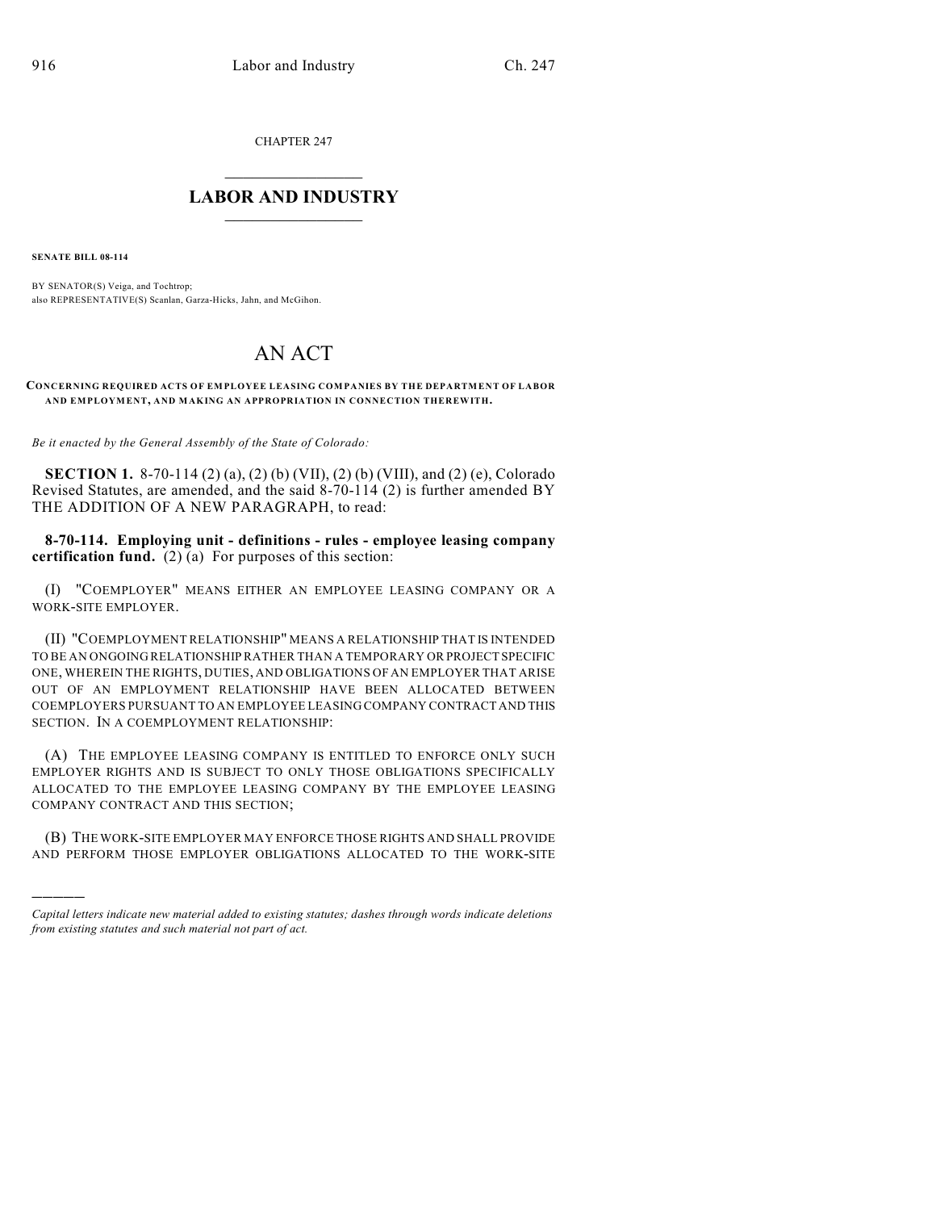CHAPTER 247

## $\mathcal{L}_\text{max}$  . The set of the set of the set of the set of the set of the set of the set of the set of the set of the set of the set of the set of the set of the set of the set of the set of the set of the set of the set **LABOR AND INDUSTRY**  $\frac{1}{\sqrt{2}}$  ,  $\frac{1}{\sqrt{2}}$  ,  $\frac{1}{\sqrt{2}}$  ,  $\frac{1}{\sqrt{2}}$  ,  $\frac{1}{\sqrt{2}}$  ,  $\frac{1}{\sqrt{2}}$

**SENATE BILL 08-114**

)))))

BY SENATOR(S) Veiga, and Tochtrop; also REPRESENTATIVE(S) Scanlan, Garza-Hicks, Jahn, and McGihon.

## AN ACT

**CONCERNING REQUIRED ACTS OF EMPLOYEE LEASING COMPANIES BY THE DEPARTMENT OF LABOR AND EMPLOYMENT, AND MAKING AN APPROPRIATION IN CONNECTION THEREWITH.**

*Be it enacted by the General Assembly of the State of Colorado:*

**SECTION 1.** 8-70-114 (2) (a), (2) (b) (VII), (2) (b) (VIII), and (2) (e), Colorado Revised Statutes, are amended, and the said 8-70-114 (2) is further amended BY THE ADDITION OF A NEW PARAGRAPH, to read:

**8-70-114. Employing unit - definitions - rules - employee leasing company certification fund.** (2) (a) For purposes of this section:

(I) "COEMPLOYER" MEANS EITHER AN EMPLOYEE LEASING COMPANY OR A WORK-SITE EMPLOYER.

(II) "COEMPLOYMENT RELATIONSHIP" MEANS A RELATIONSHIP THAT IS INTENDED TO BE AN ONGOING RELATIONSHIP RATHER THAN A TEMPORARY OR PROJECT SPECIFIC ONE, WHEREIN THE RIGHTS, DUTIES, AND OBLIGATIONS OF AN EMPLOYER THAT ARISE OUT OF AN EMPLOYMENT RELATIONSHIP HAVE BEEN ALLOCATED BETWEEN COEMPLOYERS PURSUANT TO AN EMPLOYEE LEASING COMPANY CONTRACT AND THIS SECTION. IN A COEMPLOYMENT RELATIONSHIP:

(A) THE EMPLOYEE LEASING COMPANY IS ENTITLED TO ENFORCE ONLY SUCH EMPLOYER RIGHTS AND IS SUBJECT TO ONLY THOSE OBLIGATIONS SPECIFICALLY ALLOCATED TO THE EMPLOYEE LEASING COMPANY BY THE EMPLOYEE LEASING COMPANY CONTRACT AND THIS SECTION;

(B) THE WORK-SITE EMPLOYER MAY ENFORCE THOSE RIGHTS AND SHALL PROVIDE AND PERFORM THOSE EMPLOYER OBLIGATIONS ALLOCATED TO THE WORK-SITE

*Capital letters indicate new material added to existing statutes; dashes through words indicate deletions from existing statutes and such material not part of act.*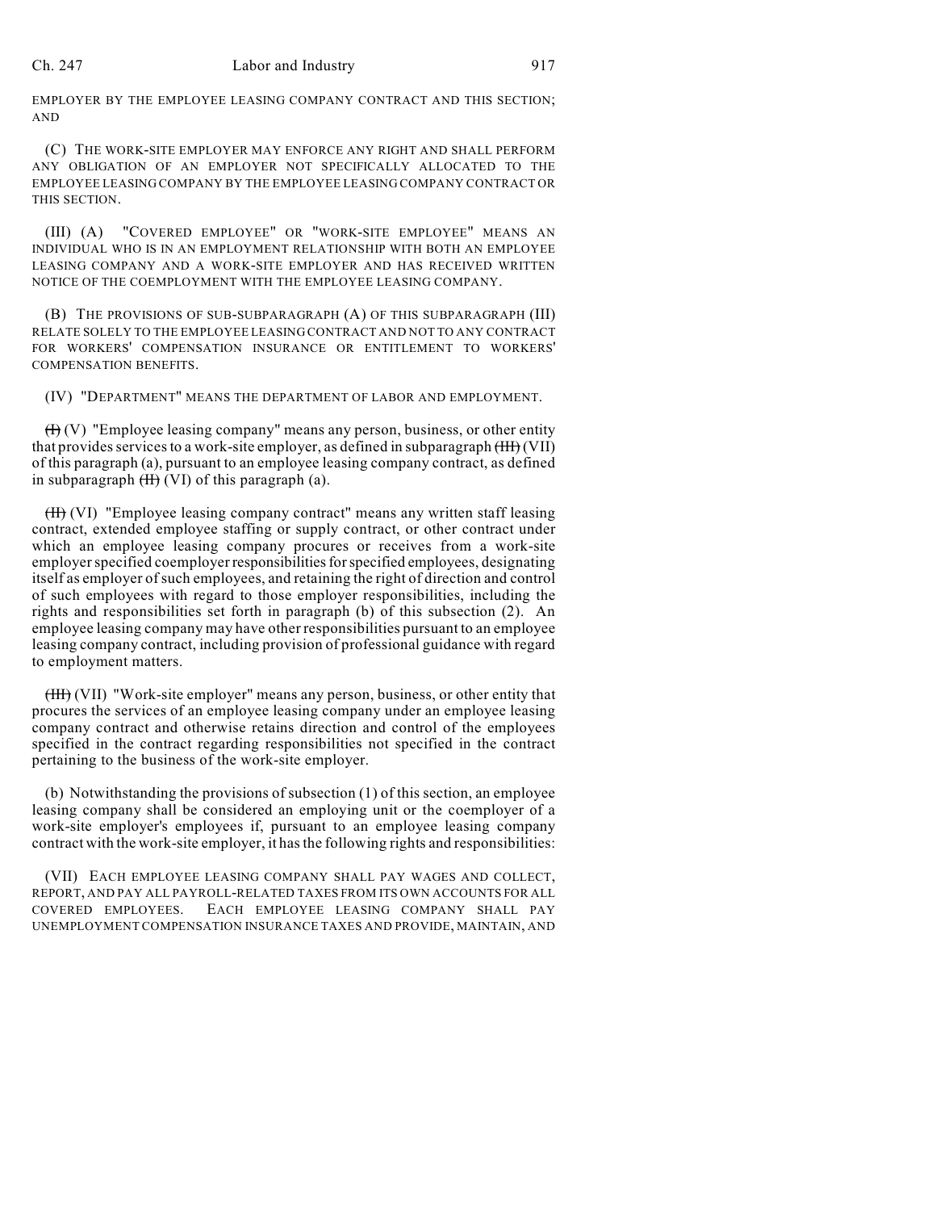## Ch. 247 Labor and Industry 917

EMPLOYER BY THE EMPLOYEE LEASING COMPANY CONTRACT AND THIS SECTION; AND

(C) THE WORK-SITE EMPLOYER MAY ENFORCE ANY RIGHT AND SHALL PERFORM ANY OBLIGATION OF AN EMPLOYER NOT SPECIFICALLY ALLOCATED TO THE EMPLOYEE LEASING COMPANY BY THE EMPLOYEE LEASING COMPANY CONTRACT OR THIS SECTION.

(III) (A) "COVERED EMPLOYEE" OR "WORK-SITE EMPLOYEE" MEANS AN INDIVIDUAL WHO IS IN AN EMPLOYMENT RELATIONSHIP WITH BOTH AN EMPLOYEE LEASING COMPANY AND A WORK-SITE EMPLOYER AND HAS RECEIVED WRITTEN NOTICE OF THE COEMPLOYMENT WITH THE EMPLOYEE LEASING COMPANY.

(B) THE PROVISIONS OF SUB-SUBPARAGRAPH (A) OF THIS SUBPARAGRAPH (III) RELATE SOLELY TO THE EMPLOYEE LEASING CONTRACT AND NOT TO ANY CONTRACT FOR WORKERS' COMPENSATION INSURANCE OR ENTITLEMENT TO WORKERS' COMPENSATION BENEFITS.

(IV) "DEPARTMENT" MEANS THE DEPARTMENT OF LABOR AND EMPLOYMENT.

 $(H)(V)$  "Employee leasing company" means any person, business, or other entity that provides services to a work-site employer, as defined in subparagraph  $(HH)$  (VII) of this paragraph (a), pursuant to an employee leasing company contract, as defined in subparagraph  $(H)$  (VI) of this paragraph (a).

(II) (VI) "Employee leasing company contract" means any written staff leasing contract, extended employee staffing or supply contract, or other contract under which an employee leasing company procures or receives from a work-site employer specified coemployer responsibilities for specified employees, designating itself as employer ofsuch employees, and retaining the right of direction and control of such employees with regard to those employer responsibilities, including the rights and responsibilities set forth in paragraph (b) of this subsection (2). An employee leasing company may have other responsibilities pursuant to an employee leasing company contract, including provision of professional guidance with regard to employment matters.

(III) (VII) "Work-site employer" means any person, business, or other entity that procures the services of an employee leasing company under an employee leasing company contract and otherwise retains direction and control of the employees specified in the contract regarding responsibilities not specified in the contract pertaining to the business of the work-site employer.

(b) Notwithstanding the provisions of subsection (1) of this section, an employee leasing company shall be considered an employing unit or the coemployer of a work-site employer's employees if, pursuant to an employee leasing company contract with the work-site employer, it has the following rights and responsibilities:

(VII) EACH EMPLOYEE LEASING COMPANY SHALL PAY WAGES AND COLLECT, REPORT, AND PAY ALL PAYROLL-RELATED TAXES FROM ITS OWN ACCOUNTS FOR ALL COVERED EMPLOYEES. EACH EMPLOYEE LEASING COMPANY SHALL PAY UNEMPLOYMENT COMPENSATION INSURANCE TAXES AND PROVIDE, MAINTAIN, AND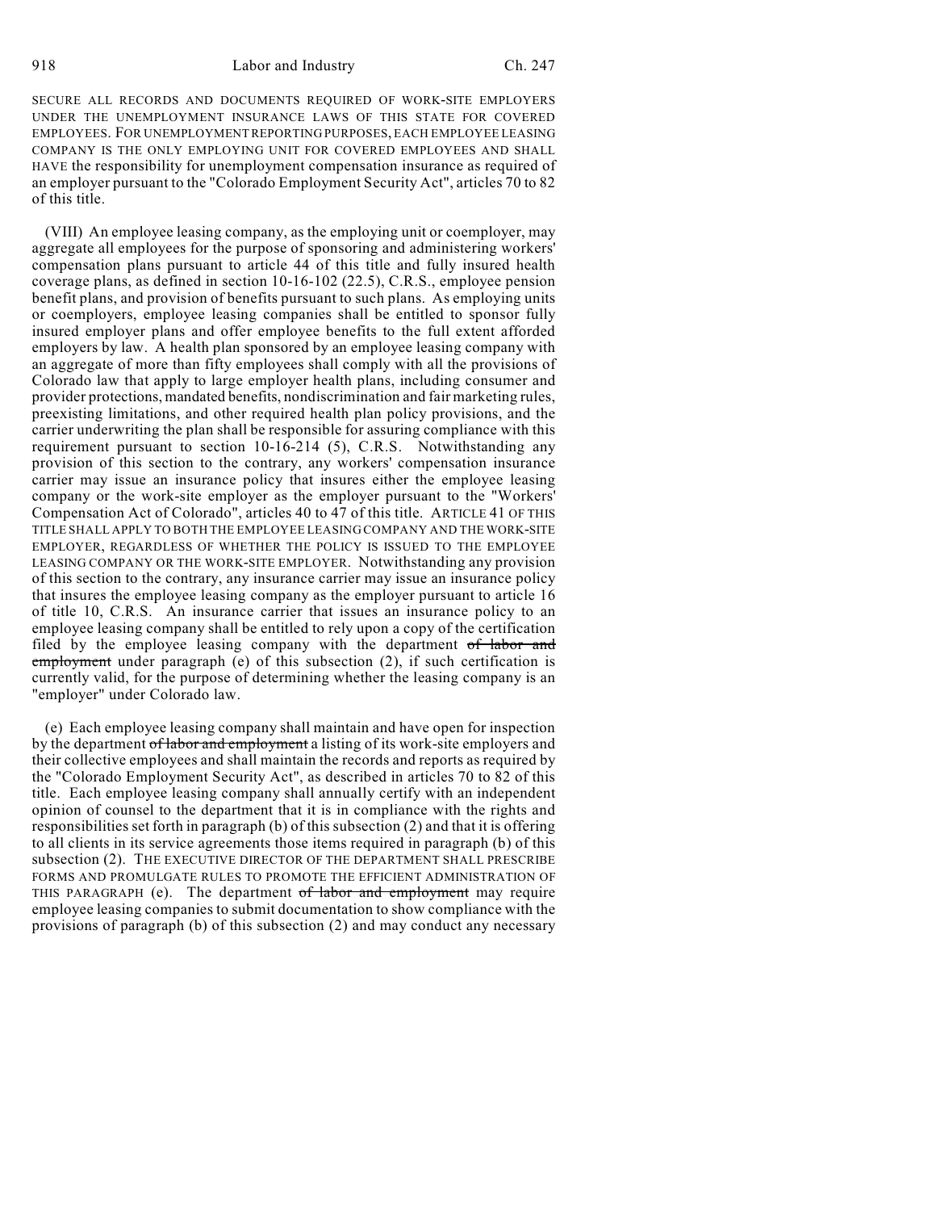SECURE ALL RECORDS AND DOCUMENTS REQUIRED OF WORK-SITE EMPLOYERS UNDER THE UNEMPLOYMENT INSURANCE LAWS OF THIS STATE FOR COVERED EMPLOYEES. FOR UNEMPLOYMENT REPORTING PURPOSES, EACH EMPLOYEE LEASING COMPANY IS THE ONLY EMPLOYING UNIT FOR COVERED EMPLOYEES AND SHALL HAVE the responsibility for unemployment compensation insurance as required of an employer pursuant to the "Colorado Employment Security Act", articles 70 to 82 of this title.

(VIII) An employee leasing company, as the employing unit or coemployer, may aggregate all employees for the purpose of sponsoring and administering workers' compensation plans pursuant to article 44 of this title and fully insured health coverage plans, as defined in section 10-16-102 (22.5), C.R.S., employee pension benefit plans, and provision of benefits pursuant to such plans. As employing units or coemployers, employee leasing companies shall be entitled to sponsor fully insured employer plans and offer employee benefits to the full extent afforded employers by law. A health plan sponsored by an employee leasing company with an aggregate of more than fifty employees shall comply with all the provisions of Colorado law that apply to large employer health plans, including consumer and provider protections, mandated benefits, nondiscrimination and fair marketing rules, preexisting limitations, and other required health plan policy provisions, and the carrier underwriting the plan shall be responsible for assuring compliance with this requirement pursuant to section 10-16-214 (5), C.R.S. Notwithstanding any provision of this section to the contrary, any workers' compensation insurance carrier may issue an insurance policy that insures either the employee leasing company or the work-site employer as the employer pursuant to the "Workers' Compensation Act of Colorado", articles 40 to 47 of this title. ARTICLE 41 OF THIS TITLE SHALL APPLY TO BOTH THE EMPLOYEE LEASING COMPANY AND THE WORK-SITE EMPLOYER, REGARDLESS OF WHETHER THE POLICY IS ISSUED TO THE EMPLOYEE LEASING COMPANY OR THE WORK-SITE EMPLOYER. Notwithstanding any provision of this section to the contrary, any insurance carrier may issue an insurance policy that insures the employee leasing company as the employer pursuant to article 16 of title 10, C.R.S. An insurance carrier that issues an insurance policy to an employee leasing company shall be entitled to rely upon a copy of the certification filed by the employee leasing company with the department of labor and employment under paragraph (e) of this subsection (2), if such certification is currently valid, for the purpose of determining whether the leasing company is an "employer" under Colorado law.

(e) Each employee leasing company shall maintain and have open for inspection by the department of labor and employment a listing of its work-site employers and their collective employees and shall maintain the records and reports as required by the "Colorado Employment Security Act", as described in articles 70 to 82 of this title. Each employee leasing company shall annually certify with an independent opinion of counsel to the department that it is in compliance with the rights and responsibilities set forth in paragraph (b) of this subsection (2) and that it is offering to all clients in its service agreements those items required in paragraph (b) of this subsection (2). THE EXECUTIVE DIRECTOR OF THE DEPARTMENT SHALL PRESCRIBE FORMS AND PROMULGATE RULES TO PROMOTE THE EFFICIENT ADMINISTRATION OF THIS PARAGRAPH (e). The department of labor and employment may require employee leasing companies to submit documentation to show compliance with the provisions of paragraph (b) of this subsection (2) and may conduct any necessary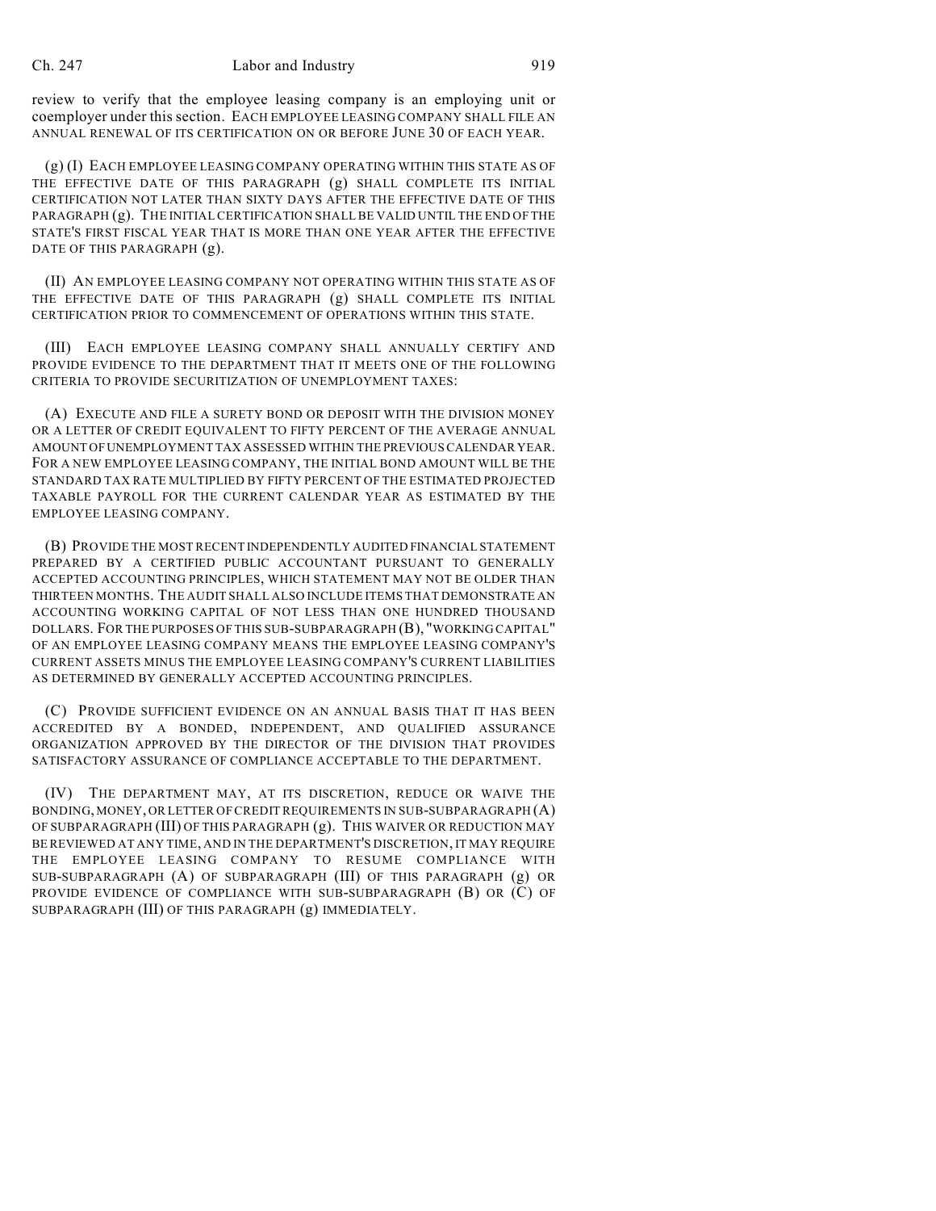review to verify that the employee leasing company is an employing unit or coemployer under this section. EACH EMPLOYEE LEASING COMPANY SHALL FILE AN ANNUAL RENEWAL OF ITS CERTIFICATION ON OR BEFORE JUNE 30 OF EACH YEAR.

(g) (I) EACH EMPLOYEE LEASING COMPANY OPERATING WITHIN THIS STATE AS OF THE EFFECTIVE DATE OF THIS PARAGRAPH (g) SHALL COMPLETE ITS INITIAL CERTIFICATION NOT LATER THAN SIXTY DAYS AFTER THE EFFECTIVE DATE OF THIS PARAGRAPH (g). THE INITIAL CERTIFICATION SHALL BE VALID UNTIL THE END OF THE STATE'S FIRST FISCAL YEAR THAT IS MORE THAN ONE YEAR AFTER THE EFFECTIVE DATE OF THIS PARAGRAPH (g).

(II) AN EMPLOYEE LEASING COMPANY NOT OPERATING WITHIN THIS STATE AS OF THE EFFECTIVE DATE OF THIS PARAGRAPH (g) SHALL COMPLETE ITS INITIAL CERTIFICATION PRIOR TO COMMENCEMENT OF OPERATIONS WITHIN THIS STATE.

(III) EACH EMPLOYEE LEASING COMPANY SHALL ANNUALLY CERTIFY AND PROVIDE EVIDENCE TO THE DEPARTMENT THAT IT MEETS ONE OF THE FOLLOWING CRITERIA TO PROVIDE SECURITIZATION OF UNEMPLOYMENT TAXES:

(A) EXECUTE AND FILE A SURETY BOND OR DEPOSIT WITH THE DIVISION MONEY OR A LETTER OF CREDIT EQUIVALENT TO FIFTY PERCENT OF THE AVERAGE ANNUAL AMOUNT OF UNEMPLOYMENT TAX ASSESSED WITHIN THE PREVIOUS CALENDAR YEAR. FOR A NEW EMPLOYEE LEASING COMPANY, THE INITIAL BOND AMOUNT WILL BE THE STANDARD TAX RATE MULTIPLIED BY FIFTY PERCENT OF THE ESTIMATED PROJECTED TAXABLE PAYROLL FOR THE CURRENT CALENDAR YEAR AS ESTIMATED BY THE EMPLOYEE LEASING COMPANY.

(B) PROVIDE THE MOST RECENT INDEPENDENTLY AUDITED FINANCIAL STATEMENT PREPARED BY A CERTIFIED PUBLIC ACCOUNTANT PURSUANT TO GENERALLY ACCEPTED ACCOUNTING PRINCIPLES, WHICH STATEMENT MAY NOT BE OLDER THAN THIRTEEN MONTHS. THE AUDIT SHALL ALSO INCLUDE ITEMS THAT DEMONSTRATE AN ACCOUNTING WORKING CAPITAL OF NOT LESS THAN ONE HUNDRED THOUSAND DOLLARS. FOR THE PURPOSES OF THIS SUB-SUBPARAGRAPH (B), "WORKING CAPITAL" OF AN EMPLOYEE LEASING COMPANY MEANS THE EMPLOYEE LEASING COMPANY'S CURRENT ASSETS MINUS THE EMPLOYEE LEASING COMPANY'S CURRENT LIABILITIES AS DETERMINED BY GENERALLY ACCEPTED ACCOUNTING PRINCIPLES.

(C) PROVIDE SUFFICIENT EVIDENCE ON AN ANNUAL BASIS THAT IT HAS BEEN ACCREDITED BY A BONDED, INDEPENDENT, AND QUALIFIED ASSURANCE ORGANIZATION APPROVED BY THE DIRECTOR OF THE DIVISION THAT PROVIDES SATISFACTORY ASSURANCE OF COMPLIANCE ACCEPTABLE TO THE DEPARTMENT.

(IV) THE DEPARTMENT MAY, AT ITS DISCRETION, REDUCE OR WAIVE THE BONDING, MONEY, OR LETTER OF CREDIT REQUIREMENTS IN SUB-SUBPARAGRAPH (A) OF SUBPARAGRAPH (III) OF THIS PARAGRAPH (g). THIS WAIVER OR REDUCTION MAY BE REVIEWED AT ANY TIME, AND IN THE DEPARTMENT'S DISCRETION, IT MAY REQUIRE THE EMPLOYEE LEASING COMPANY TO RESUME COMPLIANCE WITH SUB-SUBPARAGRAPH (A) OF SUBPARAGRAPH (III) OF THIS PARAGRAPH (g) OR PROVIDE EVIDENCE OF COMPLIANCE WITH SUB-SUBPARAGRAPH (B) OR (C) OF SUBPARAGRAPH (III) OF THIS PARAGRAPH (g) IMMEDIATELY.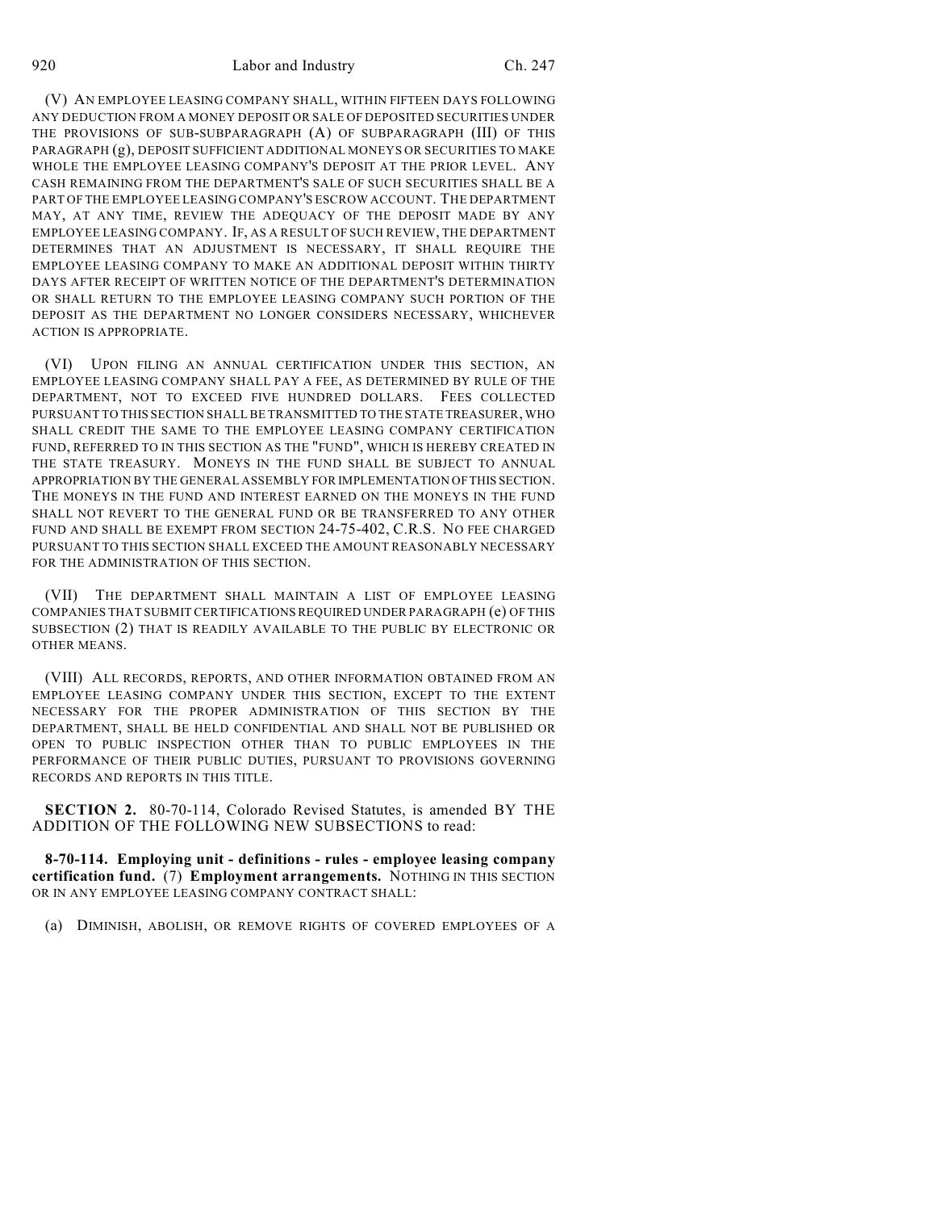920 Labor and Industry Ch. 247

(V) AN EMPLOYEE LEASING COMPANY SHALL, WITHIN FIFTEEN DAYS FOLLOWING ANY DEDUCTION FROM A MONEY DEPOSIT OR SALE OF DEPOSITED SECURITIES UNDER THE PROVISIONS OF SUB-SUBPARAGRAPH (A) OF SUBPARAGRAPH (III) OF THIS PARAGRAPH (g), DEPOSIT SUFFICIENT ADDITIONAL MONEYS OR SECURITIES TO MAKE WHOLE THE EMPLOYEE LEASING COMPANY'S DEPOSIT AT THE PRIOR LEVEL. ANY CASH REMAINING FROM THE DEPARTMENT'S SALE OF SUCH SECURITIES SHALL BE A PART OF THE EMPLOYEE LEASING COMPANY'S ESCROW ACCOUNT. THE DEPARTMENT MAY, AT ANY TIME, REVIEW THE ADEQUACY OF THE DEPOSIT MADE BY ANY EMPLOYEE LEASING COMPANY. IF, AS A RESULT OF SUCH REVIEW, THE DEPARTMENT DETERMINES THAT AN ADJUSTMENT IS NECESSARY, IT SHALL REQUIRE THE EMPLOYEE LEASING COMPANY TO MAKE AN ADDITIONAL DEPOSIT WITHIN THIRTY DAYS AFTER RECEIPT OF WRITTEN NOTICE OF THE DEPARTMENT'S DETERMINATION OR SHALL RETURN TO THE EMPLOYEE LEASING COMPANY SUCH PORTION OF THE DEPOSIT AS THE DEPARTMENT NO LONGER CONSIDERS NECESSARY, WHICHEVER ACTION IS APPROPRIATE.

(VI) UPON FILING AN ANNUAL CERTIFICATION UNDER THIS SECTION, AN EMPLOYEE LEASING COMPANY SHALL PAY A FEE, AS DETERMINED BY RULE OF THE DEPARTMENT, NOT TO EXCEED FIVE HUNDRED DOLLARS. FEES COLLECTED PURSUANT TO THIS SECTION SHALL BE TRANSMITTED TO THE STATE TREASURER, WHO SHALL CREDIT THE SAME TO THE EMPLOYEE LEASING COMPANY CERTIFICATION FUND, REFERRED TO IN THIS SECTION AS THE "FUND", WHICH IS HEREBY CREATED IN THE STATE TREASURY. MONEYS IN THE FUND SHALL BE SUBJECT TO ANNUAL APPROPRIATION BY THE GENERAL ASSEMBLY FOR IMPLEMENTATION OF THIS SECTION. THE MONEYS IN THE FUND AND INTEREST EARNED ON THE MONEYS IN THE FUND SHALL NOT REVERT TO THE GENERAL FUND OR BE TRANSFERRED TO ANY OTHER FUND AND SHALL BE EXEMPT FROM SECTION 24-75-402, C.R.S. NO FEE CHARGED PURSUANT TO THIS SECTION SHALL EXCEED THE AMOUNT REASONABLY NECESSARY FOR THE ADMINISTRATION OF THIS SECTION.

(VII) THE DEPARTMENT SHALL MAINTAIN A LIST OF EMPLOYEE LEASING COMPANIES THAT SUBMIT CERTIFICATIONS REQUIRED UNDER PARAGRAPH (e) OF THIS SUBSECTION (2) THAT IS READILY AVAILABLE TO THE PUBLIC BY ELECTRONIC OR OTHER MEANS.

(VIII) ALL RECORDS, REPORTS, AND OTHER INFORMATION OBTAINED FROM AN EMPLOYEE LEASING COMPANY UNDER THIS SECTION, EXCEPT TO THE EXTENT NECESSARY FOR THE PROPER ADMINISTRATION OF THIS SECTION BY THE DEPARTMENT, SHALL BE HELD CONFIDENTIAL AND SHALL NOT BE PUBLISHED OR OPEN TO PUBLIC INSPECTION OTHER THAN TO PUBLIC EMPLOYEES IN THE PERFORMANCE OF THEIR PUBLIC DUTIES, PURSUANT TO PROVISIONS GOVERNING RECORDS AND REPORTS IN THIS TITLE.

**SECTION 2.** 80-70-114, Colorado Revised Statutes, is amended BY THE ADDITION OF THE FOLLOWING NEW SUBSECTIONS to read:

**8-70-114. Employing unit - definitions - rules - employee leasing company certification fund.** (7) **Employment arrangements.** NOTHING IN THIS SECTION OR IN ANY EMPLOYEE LEASING COMPANY CONTRACT SHALL:

(a) DIMINISH, ABOLISH, OR REMOVE RIGHTS OF COVERED EMPLOYEES OF A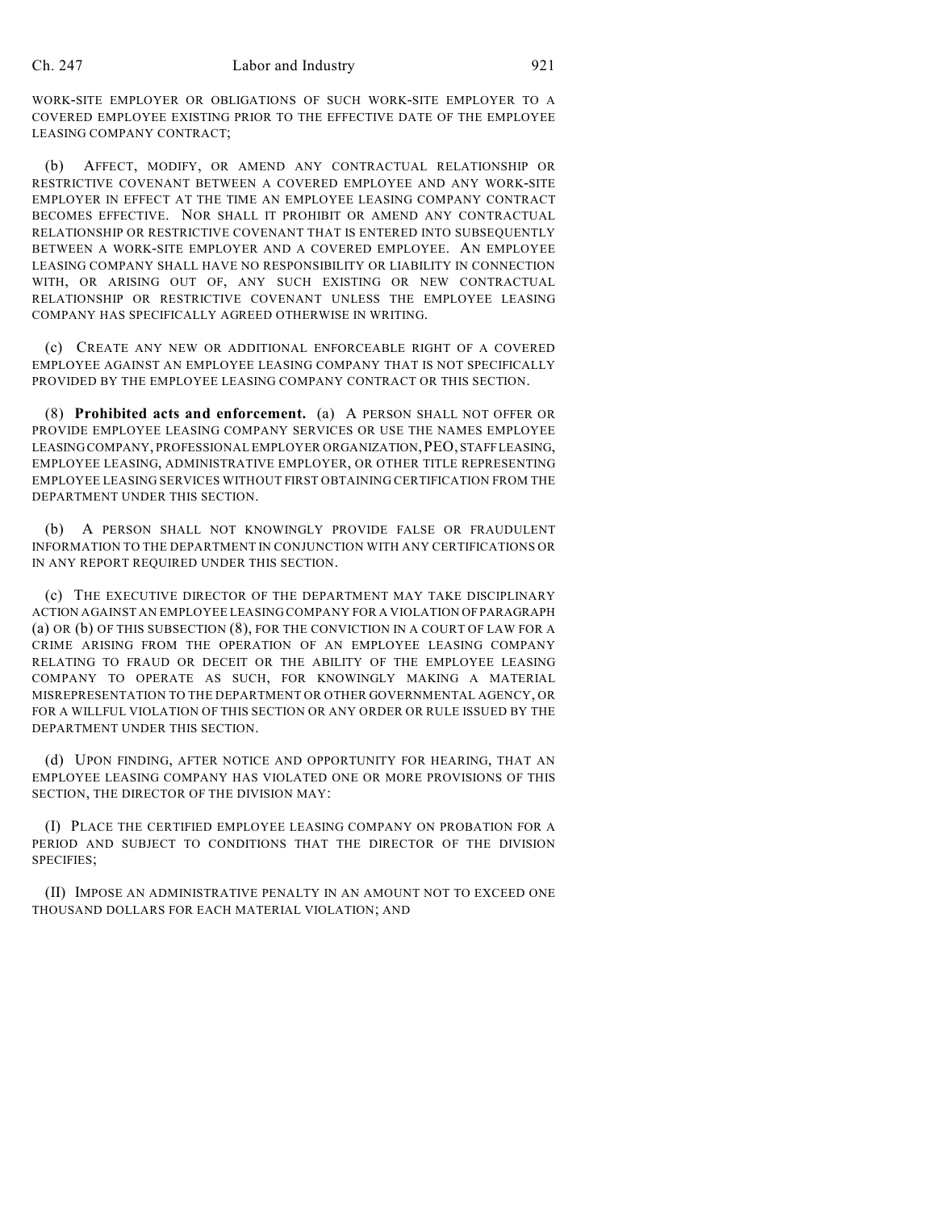## Ch. 247 Labor and Industry 921

WORK-SITE EMPLOYER OR OBLIGATIONS OF SUCH WORK-SITE EMPLOYER TO A COVERED EMPLOYEE EXISTING PRIOR TO THE EFFECTIVE DATE OF THE EMPLOYEE LEASING COMPANY CONTRACT;

(b) AFFECT, MODIFY, OR AMEND ANY CONTRACTUAL RELATIONSHIP OR RESTRICTIVE COVENANT BETWEEN A COVERED EMPLOYEE AND ANY WORK-SITE EMPLOYER IN EFFECT AT THE TIME AN EMPLOYEE LEASING COMPANY CONTRACT BECOMES EFFECTIVE. NOR SHALL IT PROHIBIT OR AMEND ANY CONTRACTUAL RELATIONSHIP OR RESTRICTIVE COVENANT THAT IS ENTERED INTO SUBSEQUENTLY BETWEEN A WORK-SITE EMPLOYER AND A COVERED EMPLOYEE. AN EMPLOYEE LEASING COMPANY SHALL HAVE NO RESPONSIBILITY OR LIABILITY IN CONNECTION WITH, OR ARISING OUT OF, ANY SUCH EXISTING OR NEW CONTRACTUAL RELATIONSHIP OR RESTRICTIVE COVENANT UNLESS THE EMPLOYEE LEASING COMPANY HAS SPECIFICALLY AGREED OTHERWISE IN WRITING.

(c) CREATE ANY NEW OR ADDITIONAL ENFORCEABLE RIGHT OF A COVERED EMPLOYEE AGAINST AN EMPLOYEE LEASING COMPANY THAT IS NOT SPECIFICALLY PROVIDED BY THE EMPLOYEE LEASING COMPANY CONTRACT OR THIS SECTION.

(8) **Prohibited acts and enforcement.** (a) A PERSON SHALL NOT OFFER OR PROVIDE EMPLOYEE LEASING COMPANY SERVICES OR USE THE NAMES EMPLOYEE LEASING COMPANY, PROFESSIONAL EMPLOYER ORGANIZATION,PEO, STAFF LEASING, EMPLOYEE LEASING, ADMINISTRATIVE EMPLOYER, OR OTHER TITLE REPRESENTING EMPLOYEE LEASING SERVICES WITHOUT FIRST OBTAINING CERTIFICATION FROM THE DEPARTMENT UNDER THIS SECTION.

(b) A PERSON SHALL NOT KNOWINGLY PROVIDE FALSE OR FRAUDULENT INFORMATION TO THE DEPARTMENT IN CONJUNCTION WITH ANY CERTIFICATIONS OR IN ANY REPORT REQUIRED UNDER THIS SECTION.

(c) THE EXECUTIVE DIRECTOR OF THE DEPARTMENT MAY TAKE DISCIPLINARY ACTION AGAINST AN EMPLOYEE LEASING COMPANY FOR A VIOLATION OF PARAGRAPH (a) OR (b) OF THIS SUBSECTION (8), FOR THE CONVICTION IN A COURT OF LAW FOR A CRIME ARISING FROM THE OPERATION OF AN EMPLOYEE LEASING COMPANY RELATING TO FRAUD OR DECEIT OR THE ABILITY OF THE EMPLOYEE LEASING COMPANY TO OPERATE AS SUCH, FOR KNOWINGLY MAKING A MATERIAL MISREPRESENTATION TO THE DEPARTMENT OR OTHER GOVERNMENTAL AGENCY, OR FOR A WILLFUL VIOLATION OF THIS SECTION OR ANY ORDER OR RULE ISSUED BY THE DEPARTMENT UNDER THIS SECTION.

(d) UPON FINDING, AFTER NOTICE AND OPPORTUNITY FOR HEARING, THAT AN EMPLOYEE LEASING COMPANY HAS VIOLATED ONE OR MORE PROVISIONS OF THIS SECTION, THE DIRECTOR OF THE DIVISION MAY:

(I) PLACE THE CERTIFIED EMPLOYEE LEASING COMPANY ON PROBATION FOR A PERIOD AND SUBJECT TO CONDITIONS THAT THE DIRECTOR OF THE DIVISION SPECIFIES;

(II) IMPOSE AN ADMINISTRATIVE PENALTY IN AN AMOUNT NOT TO EXCEED ONE THOUSAND DOLLARS FOR EACH MATERIAL VIOLATION; AND